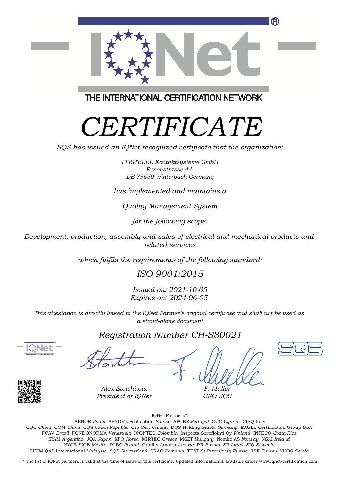

THE INTERNATIONAL CERTIFICATION NETWORK

# *CERTIFICATE*

*SQS has issued an IQNet recognized certificate that the organization:*

*PFISTERER Kontaktsysteme GmbH Rosenstrasse 44 DE-73650 Winterbach Germany*

*has implemented and maintains a*

*Quality Management System*

*for the following scope:*

*Development, production, assembly and sales of electrical and mechanical products and related services*

*which fulfils the requirements of the following standard:*

### *ISO 9001:2015*

*Issued on: 2021-10-05 Expires on: 2024-06-05*

*This attestation is directly linked to the IQNet Partner's original certificate and shall not be used as a stand-alone document*

#### *Registration Number CH-S80021*





*F. Müller CEO SQS*

IQNet Partners\*:

This annex is only valid in connection with the above-mentioned certificate. FCAV *Brazil* FONDONORMA *Venezuela* ICONTEC *Colombia* Inspecta Sertifiointi Oy *Finland* INTECO *Costa Rica* AENOR *Spain* AFNOR Certification *France* APCER *Portugal* CCC *Cyprus* CISQ Italy CQC *China* CQM *China* CQS *Czech Republic* Cro Cert *Croatia* DQS Holding GmbH *Germany* EAGLE Certification Group *USA* IRAM *Argentina* JQA *Japan* KFQ *Korea* MIRTEC *Greece* MSZT *Hungary* Nemko AS *Norway* NSAI *Ireland* NYCE-SIGE *México* PCBC *Poland* Quality Austria *Austria* RR *Russia* SII *Israel* SIQ *Slovenia* SIRIM QAS International *Malaysia* SQS *Switzerland* SRAC *Romania* TEST St Petersburg *Russia* TSE *Turkey* YUQS *Serbia*

\* The list of IQNet partners is valid at the time of issue of this certificate. Updated information is available under www.iqnet-certification.com

*Alex Stoichitoiu President of IQNet*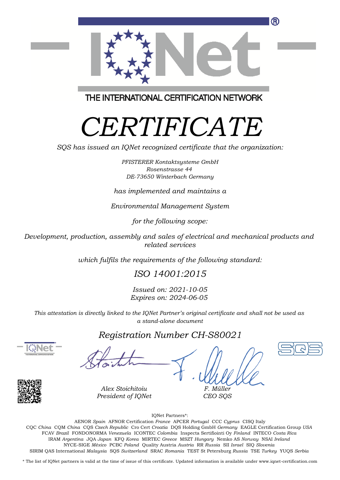

THE INTERNATIONAL CERTIFICATION NETWORK

# *CERTIFICATE*

*SQS has issued an IQNet recognized certificate that the organization:*

*PFISTERER Kontaktsysteme GmbH Rosenstrasse 44 DE-73650 Winterbach Germany*

#### *has implemented and maintains a*

*Environmental Management System*

*for the following scope:*

*Development, production, assembly and sales of electrical and mechanical products and related services*

*which fulfils the requirements of the following standard:*

### *ISO 14001:2015*

*Issued on: 2021-10-05 Expires on: 2024-06-05*

*This attestation is directly linked to the IQNet Partner's original certificate and shall not be used as a stand-alone document*

#### *Registration Number CH-S80021*





*F. Müller CEO SQS*

IQNet Partners\*:

This annex is only valid in connection with the above-mentioned certificate. FCAV *Brazil* FONDONORMA *Venezuela* ICONTEC *Colombia* Inspecta Sertifiointi Oy *Finland* INTECO *Costa Rica* AENOR *Spain* AFNOR Certification *France* APCER *Portugal* CCC *Cyprus* CISQ Italy CQC *China* CQM *China* CQS *Czech Republic* Cro Cert *Croatia* DQS Holding GmbH *Germany* EAGLE Certification Group *USA* IRAM *Argentina* JQA *Japan* KFQ *Korea* MIRTEC *Greece* MSZT *Hungary* Nemko AS *Norway* NSAI *Ireland* NYCE-SIGE *México* PCBC *Poland* Quality Austria *Austria* RR *Russia* SII *Israel* SIQ *Slovenia* SIRIM QAS International *Malaysia* SQS *Switzerland* SRAC *Romania* TEST St Petersburg *Russia* TSE *Turkey* YUQS *Serbia*

\* The list of IQNet partners is valid at the time of issue of this certificate. Updated information is available under www.iqnet-certification.com

*Alex Stoichitoiu President of IQNet*